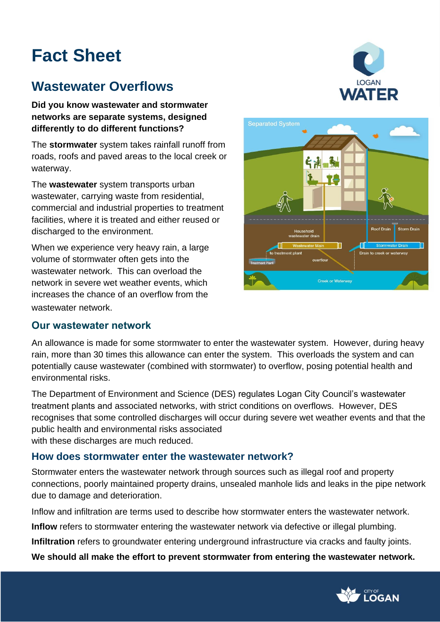# **Fact Sheet**

# **Wastewater Overflows**

**Did you know wastewater and stormwater networks are separate systems, designed differently to do different functions?** 

The **stormwater** system takes rainfall runoff from roads, roofs and paved areas to the local creek or waterway.

The **wastewater** system transports urban wastewater, carrying waste from residential, commercial and industrial properties to treatment facilities, where it is treated and either reused or discharged to the environment.

When we experience very heavy rain, a large volume of stormwater often gets into the wastewater network. This can overload the network in severe wet weather events, which increases the chance of an overflow from the wastewater network.

## **Our wastewater network**





An allowance is made for some stormwater to enter the wastewater system. However, during heavy rain, more than 30 times this allowance can enter the system. This overloads the system and can potentially cause wastewater (combined with stormwater) to overflow, posing potential health and environmental risks.

The Department of Environment and Science (DES) regulates Logan City Council's wastewater treatment plants and associated networks, with strict conditions on overflows. However, DES recognises that some controlled discharges will occur during severe wet weather events and that the public health and environmental risks associated with these discharges are much reduced.

## **How does stormwater enter the wastewater network?**

Stormwater enters the wastewater network through sources such as illegal roof and property connections, poorly maintained property drains, unsealed manhole lids and leaks in the pipe network due to damage and deterioration.

Inflow and infiltration are terms used to describe how stormwater enters the wastewater network.

**Inflow** refers to stormwater entering the wastewater network via defective or illegal plumbing.

**Infiltration** refers to groundwater entering underground infrastructure via cracks and faulty joints.

**We should all make the effort to prevent stormwater from entering the wastewater network.**